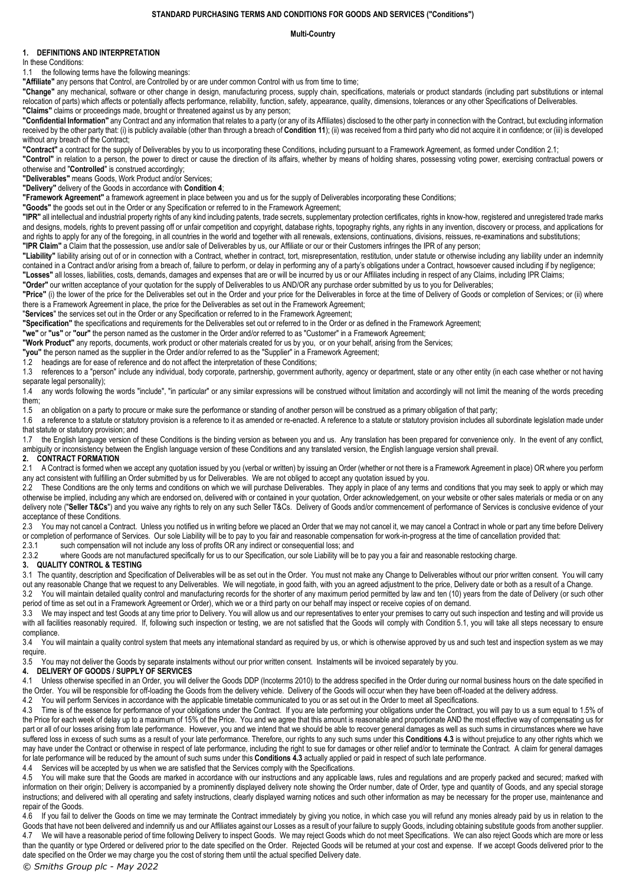## **STANDARD PURCHASING TERMS AND CONDITIONS FOR GOODS AND SERVICES ("Conditions")**

#### **Multi-Country**

# **1. DEFINITIONS AND INTERPRETATION**

In these Conditions:

1.1 the following terms have the following meanings:

**"Affiliate"** any persons that Control, are Controlled by or are under common Control with us from time to time;

**"Change"** any mechanical, software or other change in design, manufacturing process, supply chain, specifications, materials or product standards (including part substitutions or internal relocation of parts) which affects or potentially affects performance, reliability, function, safety, appearance, quality, dimensions, tolerances or any other Specifications of Deliverables. **"Claims"** claims or proceedings made, brought or threatened against us by any person;

**"Confidential Information"** any Contract and any information that relates to a party (or any of its Affiliates) disclosed to the other party in connection with the Contract, but excluding information received by the other party that: (i) is publicly available (other than through a breach of **Conditio[n 11](#page-2-0)**); (ii) was received from a third party who did not acquire it in confidence; or (iii) is developed without any breach of the Contract;

**"Contract"** a contract for the supply of Deliverables by you to us incorporating these Conditions, including pursuant to a Framework Agreement, as formed under Conditio[n 2.1;](#page-0-0)

**"Control"** in relation to a person, the power to direct or cause the direction of its affairs, whether by means of holding shares, possessing voting power, exercising contractual powers or otherwise and "**Controlled**" is construed accordingly;

**"Deliverables"** means Goods, Work Product and/or Services;

**"Delivery"** delivery of the Goods in accordance with **Condition [4](#page-0-1)**;

**"Framework Agreement"** a framework agreement in place between you and us for the supply of Deliverables incorporating these Conditions;

**"Goods"** the goods set out in the Order or any Specification or referred to in the Framework Agreement;

"IPR" all intellectual and industrial property rights of any kind including patents, trade secrets, supplementary protection certificates, rights in know-how, registered and unregistered trade marks and designs, models, rights to prevent passing off or unfair competition and copyright, database rights, topography rights, any rights in any invention, discovery or process, and applications for and rights to apply for any of the foregoing, in all countries in the world and together with all renewals, extensions, continuations, divisions, reissues, re-examinations and substitutions; **"IPR Claim"** a Claim that the possession, use and/or sale of Deliverables by us, our Affiliate or our or their Customers infringes the IPR of any person;

**"Liability"** liability arising out of or in connection with a Contract, whether in contract, tort, misrepresentation, restitution, under statute or otherwise including any liability under an indemnity contained in a Contract and/or arising from a breach of, failure to perform, or delay in performing any of a party's obligations under a Contract, howsoever caused including if by negligence; **"Losses"** all losses, liabilities, costs, demands, damages and expenses that are or will be incurred by us or our Affiliates including in respect of any Claims, including IPR Claims;

**"Order"** our written acceptance of your quotation for the supply of Deliverables to us AND/OR any purchase order submitted by us to you for Deliverables;

**"Price"** (i) the lower of the price for the Deliverables set out in the Order and your price for the Deliverables in force at the time of Delivery of Goods or completion of Services; or (ii) where there is a Framework Agreement in place, the price for the Deliverables as set out in the Framework Agreement;

"**Services**" the services set out in the Order or any Specification or referred to in the Framework Agreement;

**"Specification"** the specifications and requirements for the Deliverables set out or referred to in the Order or as defined in the Framework Agreement;

**"we"** or **"us"** or **"our"** the person named as the customer in the Order and/or referred to as "Customer" in a Framework Agreement;

**"Work Product"** any reports, documents, work product or other materials created for us by you, or on your behalf, arising from the Services;

**"you"** the person named as the supplier in the Order and/or referred to as the "Supplier" in a Framework Agreement;

1.2 headings are for ease of reference and do not affect the interpretation of these Conditions;

1.3 references to a "person" include any individual, body corporate, partnership, government authority, agency or department, state or any other entity (in each case whether or not having separate legal personality);

1.4 any words following the words "include", "in particular" or any similar expressions will be construed without limitation and accordingly will not limit the meaning of the words preceding them;

1.5 an obligation on a party to procure or make sure the performance or standing of another person will be construed as a primary obligation of that party;

1.6 a reference to a statute or statutory provision is a reference to it as amended or re-enacted. A reference to a statute or statutory provision includes all subordinate legislation made under that statute or statutory provision; and

1.7 the English language version of these Conditions is the binding version as between you and us. Any translation has been prepared for convenience only. In the event of any conflict, ambiguity or inconsistency between the English language version of these Conditions and any translated version, the English language version shall prevail.

#### **2. CONTRACT FORMATION**

<span id="page-0-0"></span>2.1 A Contract is formed when we accept any quotation issued by you (verbal or written) by issuing an Order (whether or not there is a Framework Agreement in place) OR where you perform any act consistent with fulfilling an Order submitted by us for Deliverables. We are not obliged to accept any quotation issued by you.

2.2 These Conditions are the only terms and conditions on which we will purchase Deliverables. They apply in place of any terms and conditions that you may seek to apply or which may otherwise be implied, including any which are endorsed on, delivered with or contained in your quotation, Order acknowledgement, on your website or other sales materials or media or on any delivery note ("Seller T&Cs") and you waive any rights to rely on any such Seller T&Cs. Delivery of Goods and/or commencement of performance of Services is conclusive evidence of your acceptance of these Conditions.

2.3 You may not cancel a Contract. Unless you notified us in writing before we placed an Order that we may not cancel it, we may cancel a Contract in whole or part any time before Delivery or completion of performance of Services. Our sole Liability will be to pay to you fair and reasonable compensation for work-in-progress at the time of cancellation provided that:<br>2.3.1 such compensation will not include a

such compensation will not include any loss of profits OR any indirect or consequential loss; and

2.3.2 where Goods are not manufactured specifically for us to our Specification, our sole Liability will be to pay you a fair and reasonable restocking charge.

## **3. QUALITY CONTROL & TESTING**

3.1 The quantity, description and Specification of Deliverables will be as set out in the Order. You must not make any Change to Deliverables without our prior written consent. You will carry out any reasonable Change that we request to any Deliverables. We will negotiate, in good faith, with you an agreed adjustment to the price, Delivery date or both as a result of a Change.

3.2 You will maintain detailed quality control and manufacturing records for the shorter of any maximum period permitted by law and ten (10) years from the date of Delivery (or such other period of time as set out in a Framework Agreement or Order), which we or a third party on our behalf may inspect or receive copies of on demand.

3.3 We may inspect and test Goods at any time prior to Delivery. You will allow us and our representatives to enter your premises to carry out such inspection and testing and will provide us with all facilities reasonably required. If, following such inspection or testing, we are not satisfied that the Goods will comply with Condition [5.1,](#page-1-0) you will take all steps necessary to ensure compliance.

3.4 You will maintain a quality control system that meets any international standard as required by us, or which is otherwise approved by us and such test and inspection system as we may require.

3.5 You may not deliver the Goods by separate instalments without our prior written consent. Instalments will be invoiced separately by you.

## <span id="page-0-1"></span>**4. DELIVERY OF GOODS / SUPPLY OF SERVICES**

4.1 Unless otherwise specified in an Order, you will deliver the Goods DDP (Incoterms 2010) to the address specified in the Order during our normal business hours on the date specified in the Order. You will be responsible for off-loading the Goods from the delivery vehicle. Delivery of the Goods will occur when they have been off-loaded at the delivery address.

4.2 You will perform Services in accordance with the applicable timetable communicated to you or as set out in the Order to meet all Specifications.

<span id="page-0-2"></span>4.3 Time is of the essence for performance of your obligations under the Contract. If you are late performing your obligations under the Contract, you will pay to us a sum equal to 1.5% of the Price for each week of delay up to a maximum of 15% of the Price. You and we agree that this amount is reasonable and proportionate AND the most effective way of compensating us for part or all of our losses arising from late performance. However, you and we intend that we should be able to recover general damages as well as such sums in circumstances where we have suffered loss in excess of such sums as a result of your late performance. Therefore, our rights to any such sums under this **Condition[s 4.3](#page-0-2)** is without prejudice to any other rights which we may have under the Contract or otherwise in respect of late performance, including the right to sue for damages or other relief and/or to terminate the Contract. A claim for general damages for late performance will be reduced by the amount of such sums under this **Condition[s 4.3](#page-0-2)** actually applied or paid in respect of such late performance.

4.4 Services will be accepted by us when we are satisfied that the Services comply with the Specifications.

4.5 You will make sure that the Goods are marked in accordance with our instructions and any applicable laws, rules and requlations and are properly packed and secured; marked with information on their origin; Delivery is accompanied by a prominently displayed delivery note showing the Order number, date of Order, type and quantity of Goods, and any special storage instructions; and delivered with all operating and safety instructions, clearly displayed warning notices and such other information as may be necessary for the proper use, maintenance and repair of the Goods.

4.6 If you fail to deliver the Goods on time we may terminate the Contract immediately by giving you notice, in which case you will refund any monies already paid by us in relation to the Goods that have not been delivered and indemnify us and our Affiliates against our Losses as a result of your failure to supply Goods, including obtaining substitute goods from another supplier. 4.7 We will have a reasonable period of time following Delivery to inspect Goods. We may reject Goods which do not meet Specifications. We can also reject Goods which are more or less than the quantity or type Ordered or delivered prior to the date specified on the Order. Rejected Goods will be returned at your cost and expense. If we accept Goods delivered prior to the date specified on the Order we may charge you the cost of storing them until the actual specified Delivery date.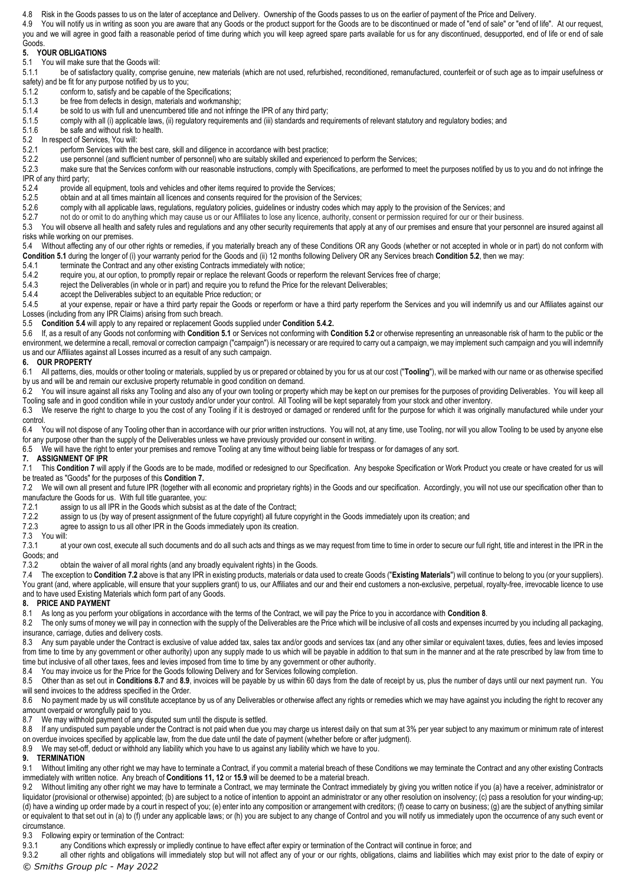4.8 Risk in the Goods passes to us on the later of acceptance and Delivery. Ownership of the Goods passes to us on the earlier of payment of the Price and Delivery.

4.9 You will notify us in writing as soon you are aware that any Goods or the product support for the Goods are to be discontinued or made of "end of sale" or "end of life". At our request, you and we will agree in good faith a reasonable period of time during which you will keep agreed spare parts available for us for any discontinued, desupported, end of life or end of sale

#### **Goods 5. YOUR OBLIGATIONS**

<span id="page-1-0"></span>5.1 You will make sure that the Goods will:<br>5.1.1 be of satisfactory quality compri-

be of satisfactory quality, comprise genuine, new materials (which are not used, refurbished, reconditioned, remanufactured, counterfeit or of such age as to impair usefulness or safety) and be fit for any purpose notified by us to you;

- 5.1.2 conform to, satisfy and be capable of the Specifications;<br>5.1.3 be free from defects in design, materials and workmans
- 5.1.3 be free from defects in design, materials and workmanship;<br>5.1.4 be sold to us with full and unencumbered title and not infrinc-
- 5.1.4 be sold to us with full and unencumbered title and not infringe the IPR of any third party;<br>5.1.5 comply with all (i) applicable laws, (ii) regulatory requirements and (iii) standards and rec comply with all (i) applicable laws, (ii) regulatory requirements and (iii) standards and requirements of relevant statutory and regulatory bodies; and

5.1.6 be safe and without risk to health.

- <span id="page-1-1"></span>5.2 In respect of Services, You will:
- 5.2.1 perform Services with the best care, skill and diligence in accordance with best practice;<br>5.2.2 use personnel (and sufficient number of personnel) who are suitably skilled and experier
- 5.2.2 use personnel (and sufficient number of personnel) who are suitably skilled and experienced to perform the Services;<br>5.2.3 make sure that the Services conform with our reasonable instructions, comply with Specificati

make sure that the Services conform with our reasonable instructions, comply with Specifications, are performed to meet the purposes notified by us to you and do not infringe the IPR of any third party;<br>5.2.4 provide a

5.2.4 provide all equipment, tools and vehicles and other items required to provide the Services;<br>5.2.5 obtain and at all times maintain all licences and consents required for the provision of the S

obtain and at all times maintain all licences and consents required for the provision of the Services;

5.2.6 comply with all applicable laws, regulations, regulatory policies, guidelines or industry codes which may apply to the provision of the Services; and

5.2.7 not do or omit to do anything which may cause us or our Affiliates to lose any licence, authority, consent or permission required for our or their business.

5.3 You will observe all health and safety rules and regulations and any other security requirements that apply at any of our premises and ensure that your personnel are insured against all risks while working on our premises.

<span id="page-1-2"></span>5.4 Without affecting any of our other rights or remedies, if you materially breach any of these Conditions OR any Goods (whether or not accepted in whole or in part) do not conform with **Conditio[n 5.1](#page-1-0)** during the longer of (i) your warranty period for the Goods and (ii) 12 months following Delivery OR any Services breach **Conditio[n 5.2](#page-1-1)**, then we may:

5.4.1 terminate the Contract and any other existing Contracts immediately with notice;<br>5.4.2 require you, at our option, to promptly repair or replace the relevant Goods or rel

<span id="page-1-3"></span>5.4.2 require you, at our option, to promptly repair or replace the relevant Goods or reperform the relevant Services free of charge;<br>5.4.3 reject the Deliverables (in whole or in part) and require you to refund the Price

reject the Deliverables (in whole or in part) and require you to refund the Price for the relevant Deliverables;

5.4.4 accept the Deliverables subject to an equitable Price reduction; or 5.4.5 at your expense, repair or have a third party repair the Goods or

at your expense, repair or have a third party repair the Goods or reperform or have a third party reperform the Services and you will indemnify us and our Affiliates against our Losses (including from any IPR Claims) arising from such breach.

5.5 **Conditio[n 5.4](#page-1-2)** will apply to any repaired or replacement Goods supplied under **Conditio[n 5.4.2.](#page-1-3)**

5.6 If, as a result of any Goods not conforming with **Conditio[n 5.1](#page-1-0)** or Services not conforming with **Conditio[n 5.2](#page-1-1)** or otherwise representing an unreasonable risk of harm to the public or the environment, we determine a recall, removal or correction campaign ("campaign") is necessary or are required to carry out a campaign, we may implement such campaign and you will indemnify us and our Affiliates against all Losses incurred as a result of any such campaign.

# **6. OUR PROPERTY**

6.1 All patterns, dies, moulds or other tooling or materials, supplied by us or prepared or obtained by you for us at our cost ("**Tooling**"), will be marked with our name or as otherwise specified by us and will be and remain our exclusive property returnable in good condition on demand.

6.2 You will insure against all risks any Tooling and also any of your own tooling or property which may be kept on our premises for the purposes of providing Deliverables. You will keep all Tooling safe and in good condition while in your custody and/or under your control. All Tooling will be kept separately from your stock and other inventory.

6.3 We reserve the right to charge to you the cost of any Tooling if it is destroyed or damaged or rendered unfit for the purpose for which it was originally manufactured while under your control.

6.4 You will not dispose of any Tooling other than in accordance with our prior written instructions. You will not, at any time, use Tooling, nor will you allow Tooling to be used by anyone else for any purpose other than the supply of the Deliverables unless we have previously provided our consent in writing.

6.5 We will have the right to enter your premises and remove Tooling at any time without being liable for trespass or for damages of any sort.

## <span id="page-1-4"></span>**7. ASSIGNMENT OF IPR**

7.1 This Conditio[n 7](#page-1-4) will apply if the Goods are to be made, modified or redesigned to our Specification. Any bespoke Specification or Work Product you create or have created for us will be treated as "Goods" for the purposes of this **Conditio[n 7.](#page-1-4)**

<span id="page-1-5"></span>7.2 We will own all present and future IPR (together with all economic and proprietary rights) in the Goods and our specification. Accordingly, you will not use our specification other than to manufacture the Goods for us. With full title guarantee, you:

7.2.1 assign to us all IPR in the Goods which subsist as at the date of the Contract;<br>7.2.2 assign to us (by way of present assignment of the future copyright) all future c 7.2.2 assign to us (by way of present assignment of the future copyright) all future copyright in the Goods immediately upon its creation; and 7.2.3 agree to assign to us all other IPR in the Goods immediately upon its cre

agree to assign to us all other IPR in the Goods immediately upon its creation.

# 7.3 You will:

at your own cost, execute all such documents and do all such acts and things as we may request from time to time in order to secure our full right, title and interest in the IPR in the Goods; and

7.3.2 obtain the waiver of all moral rights (and any broadly equivalent rights) in the Goods.

7.4 The exception to **Condition [7.2](#page-1-5)** above is that any IPR in existing products, materials or data used to create Goods ("**Existing Materials**") will continue to belong to you (or your suppliers). You grant (and, where applicable, will ensure that your suppliers grant) to us, our Affiliates and our and their end customers a non-exclusive, perpetual, royalty-free, irrevocable licence to use and to have used Existing Materials which form part of any Goods.

# <span id="page-1-6"></span>**8. PRICE AND PAYMENT**

8.1 As long as you perform your obligations in accordance with the terms of the Contract, we will pay the Price to you in accordance with **Conditio[n 8](#page-1-6)**.

8.2 The only sums of money we will pay in connection with the supply of the Deliverables are the Price which will be inclusive of all costs and expenses incurred by you including all packaging, insurance, carriage, duties and delivery costs.

8.3 Any sum payable under the Contract is exclusive of value added tax, sales tax and/or goods and services tax (and any other similar or equivalent taxes, duties, fees and levies imposed from time to time by any government or other authority) upon any supply made to us which will be payable in addition to that sum in the manner and at the rate prescribed by law from time to time but inclusive of all other taxes, fees and levies imposed from time to time by any government or other authority.

8.4 You may invoice us for the Price for the Goods following Delivery and for Services following completion.

8.5 Other than as set out in **Condition[s 8.7](#page-1-7)** and **[8.9](#page-1-8)**, invoices will be payable by us within 60 days from the date of receipt by us, plus the number of days until our next payment run. You will send invoices to the address specified in the Order.

8.6 No payment made by us will constitute acceptance by us of any Deliverables or otherwise affect any rights or remedies which we may have against you including the right to recover any amount overpaid or wrongfully paid to you.

<span id="page-1-7"></span>8.7 We may withhold payment of any disputed sum until the dispute is settled.

8.8 If any undisputed sum payable under the Contract is not paid when due you may charge us interest daily on that sum at 3% per year subject to any maximum or minimum rate of interest on overdue invoices specified by applicable law, from the due date until the date of payment (whether before or after judgment).

<span id="page-1-8"></span>8.9 We may set-off, deduct or withhold any liability which you have to us against any liability which we have to you.

## **9. TERMINATION**

9.1 Without limiting any other right we may have to terminate a Contract, if you commit a material breach of these Conditions we may terminate the Contract and any other existing Contracts immediately with written notice. Any breach of **Conditions 11, 12** or **[15.9](#page-2-1)** will be deemed to be a material breach.

9.2 Without limiting any other right we may have to terminate a Contract, we may terminate the Contract immediately by giving you written notice if you (a) have a receiver, administrator or liquidator (provisional or otherwise) appointed; (b) are subject to a notice of intention to appoint an administrator or any other resolution on insolvency; (c) pass a resolution for your winding-up; (d) have a winding up order made by a court in respect of you; (e) enter into any composition or arrangement with creditors; (f) cease to carry on business; (g) are the subject of anything similar or equivalent to that set out in (a) to (f) under any applicable laws; or (h) you are subject to any change of Control and you will notify us immediately upon the occurrence of any such event or circumstance.

9.3 Following expiry or termination of the Contract:<br>9.3.1 any Conditions which expressly or implie

any Conditions which expressly or impliedly continue to have effect after expiry or termination of the Contract will continue in force; and

9.3.2 all other rights and obligations will immediately stop but will not affect any of your or our rights, obligations, claims and liabilities which may exist prior to the date of expiry or